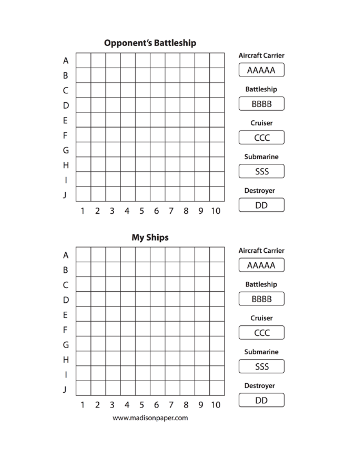

www.madisonpaper.com